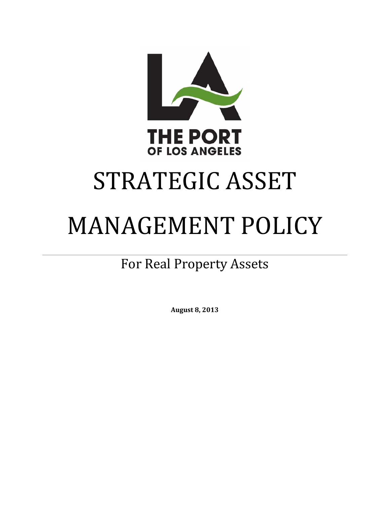

# STRATEGIC ASSET

# MANAGEMENT POLICY

## For Real Property Assets

**August 8, 2013**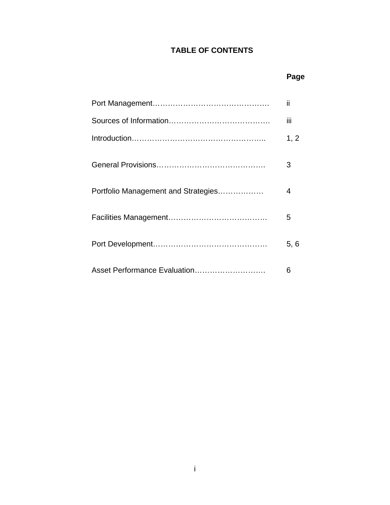### **TABLE OF CONTENTS**

### **Page**

|                                     | ii   |
|-------------------------------------|------|
|                                     | iij  |
|                                     | 1, 2 |
|                                     | 3    |
| Portfolio Management and Strategies | 4    |
|                                     | 5    |
|                                     | 5.6  |
| Asset Performance Evaluation        | 6    |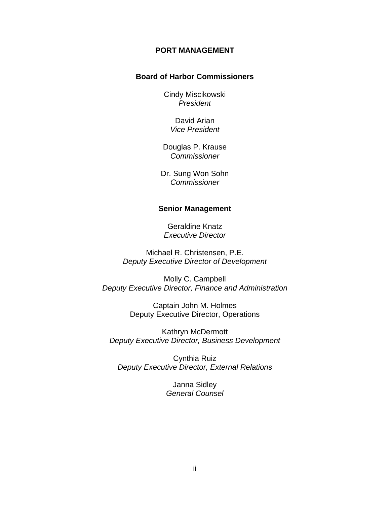#### **PORT MANAGEMENT**

#### **Board of Harbor Commissioners**

Cindy Miscikowski *President* 

> David Arian *Vice President*

Douglas P. Krause *Commissioner* 

Dr. Sung Won Sohn *Commissioner* 

#### **Senior Management**

Geraldine Knatz *Executive Director* 

Michael R. Christensen, P.E. *Deputy Executive Director of Development* 

Molly C. Campbell *Deputy Executive Director, Finance and Administration* 

> Captain John M. Holmes Deputy Executive Director, Operations

Kathryn McDermott *Deputy Executive Director, Business Development* 

Cynthia Ruiz *Deputy Executive Director, External Relations* 

> Janna Sidley *General Counsel*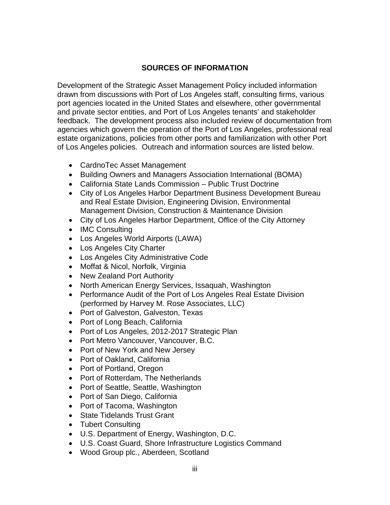#### **SOURCES OF INFORMATION**

Development of the Strategic Asset Management Policy included information drawn from discussions with Port of Los Angeles staff, consulting firms, various port agencies located in the United States and elsewhere, other governmental and private sector entities, and Port of Los Angeles tenants' and stakeholder feedback. The development process also included review of documentation from agencies which govern the operation of the Port of Los Angeles, professional real estate organizations, policies from other ports and familiarization with other Port of Los Angeles policies. Outreach and information sources are listed below.

- CardnoTec Asset Management
- Building Owners and Managers Association International (BOMA)
- California State Lands Commission Public Trust Doctrine
- City of Los Angeles Harbor Department Business Development Bureau and Real Estate Division, Engineering Division, Environmental Management Division, Construction & Maintenance Division
- City of Los Angeles Harbor Department, Office of the City Attorney
- IMC Consulting
- Los Angeles World Airports (LAWA)
- Los Angeles City Charter
- Los Angeles City Administrative Code
- Moffat & Nicol, Norfolk, Virginia
- New Zealand Port Authority
- North American Energy Services, Issaguah, Washington
- Performance Audit of the Port of Los Angeles Real Estate Division (performed by Harvey M. Rose Associates, LLC)
- Port of Galveston, Galveston, Texas
- Port of Long Beach, California
- Port of Los Angeles, 2012-2017 Strategic Plan
- Port Metro Vancouver, Vancouver, B.C.
- Port of New York and New Jersey
- Port of Oakland, California
- Port of Portland, Oregon
- Port of Rotterdam, The Netherlands
- Port of Seattle, Seattle, Washington
- Port of San Diego, California
- Port of Tacoma, Washington
- State Tidelands Trust Grant
- Tubert Consulting
- U.S. Department of Energy, Washington, D.C.
- U.S. Coast Guard, Shore Infrastructure Logistics Command
- Wood Group plc., Aberdeen, Scotland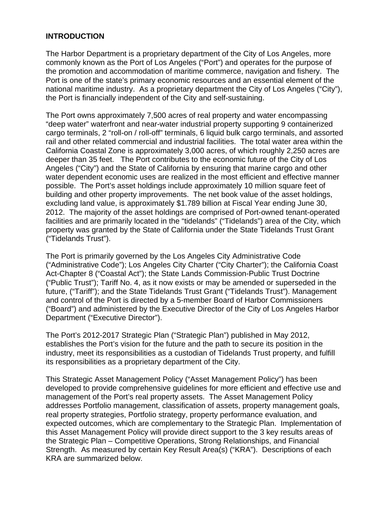#### **INTRODUCTION**

The Harbor Department is a proprietary department of the City of Los Angeles, more commonly known as the Port of Los Angeles ("Port") and operates for the purpose of the promotion and accommodation of maritime commerce, navigation and fishery. The Port is one of the state's primary economic resources and an essential element of the national maritime industry. As a proprietary department the City of Los Angeles ("City"), the Port is financially independent of the City and self-sustaining.

The Port owns approximately 7,500 acres of real property and water encompassing "deep water" waterfront and near-water industrial property supporting 9 containerized cargo terminals, 2 "roll-on / roll-off" terminals, 6 liquid bulk cargo terminals, and assorted rail and other related commercial and industrial facilities. The total water area within the California Coastal Zone is approximately 3,000 acres, of which roughly 2,250 acres are deeper than 35 feet. The Port contributes to the economic future of the City of Los Angeles ("City") and the State of California by ensuring that marine cargo and other water dependent economic uses are realized in the most efficient and effective manner possible. The Port's asset holdings include approximately 10 million square feet of building and other property improvements. The net book value of the asset holdings, excluding land value, is approximately \$1.789 billion at Fiscal Year ending June 30, 2012. The majority of the asset holdings are comprised of Port-owned tenant-operated facilities and are primarily located in the "tidelands" ("Tidelands") area of the City, which property was granted by the State of California under the State Tidelands Trust Grant ("Tidelands Trust").

The Port is primarily governed by the Los Angeles City Administrative Code ("Administrative Code"); Los Angeles City Charter ("City Charter"); the California Coast Act-Chapter 8 ("Coastal Act"); the State Lands Commission-Public Trust Doctrine ("Public Trust"); Tariff No. 4, as it now exists or may be amended or superseded in the future, ("Tariff"); and the State Tidelands Trust Grant ("Tidelands Trust"). Management and control of the Port is directed by a 5-member Board of Harbor Commissioners ("Board") and administered by the Executive Director of the City of Los Angeles Harbor Department ("Executive Director").

The Port's 2012-2017 Strategic Plan ("Strategic Plan") published in May 2012, establishes the Port's vision for the future and the path to secure its position in the industry, meet its responsibilities as a custodian of Tidelands Trust property, and fulfill its responsibilities as a proprietary department of the City.

This Strategic Asset Management Policy ("Asset Management Policy") has been developed to provide comprehensive guidelines for more efficient and effective use and management of the Port's real property assets. The Asset Management Policy addresses Portfolio management, classification of assets, property management goals, real property strategies, Portfolio strategy, property performance evaluation, and expected outcomes, which are complementary to the Strategic Plan. Implementation of this Asset Management Policy will provide direct support to the 3 key results areas of the Strategic Plan – Competitive Operations, Strong Relationships, and Financial Strength. As measured by certain Key Result Area(s) ("KRA"). Descriptions of each KRA are summarized below.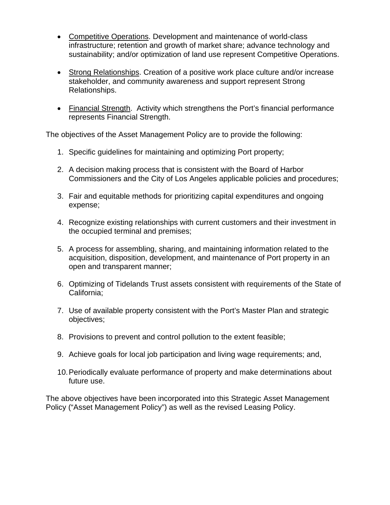- Competitive Operations. Development and maintenance of world-class infrastructure; retention and growth of market share; advance technology and sustainability; and/or optimization of land use represent Competitive Operations.
- Strong Relationships. Creation of a positive work place culture and/or increase stakeholder, and community awareness and support represent Strong Relationships.
- Financial Strength. Activity which strengthens the Port's financial performance represents Financial Strength.

The objectives of the Asset Management Policy are to provide the following:

- 1. Specific guidelines for maintaining and optimizing Port property;
- 2. A decision making process that is consistent with the Board of Harbor Commissioners and the City of Los Angeles applicable policies and procedures;
- 3. Fair and equitable methods for prioritizing capital expenditures and ongoing expense;
- 4. Recognize existing relationships with current customers and their investment in the occupied terminal and premises;
- 5. A process for assembling, sharing, and maintaining information related to the acquisition, disposition, development, and maintenance of Port property in an open and transparent manner;
- 6. Optimizing of Tidelands Trust assets consistent with requirements of the State of California;
- 7. Use of available property consistent with the Port's Master Plan and strategic objectives;
- 8. Provisions to prevent and control pollution to the extent feasible;
- 9. Achieve goals for local job participation and living wage requirements; and,
- 10. Periodically evaluate performance of property and make determinations about future use.

The above objectives have been incorporated into this Strategic Asset Management Policy ("Asset Management Policy") as well as the revised Leasing Policy.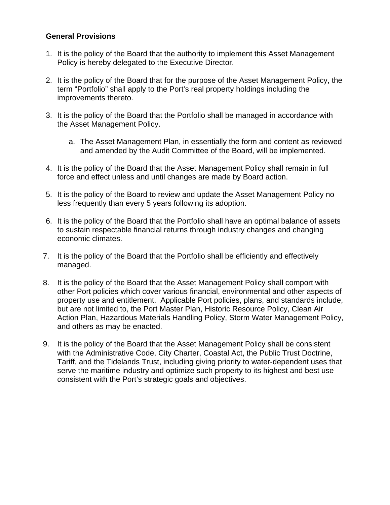#### **General Provisions**

- 1. It is the policy of the Board that the authority to implement this Asset Management Policy is hereby delegated to the Executive Director.
- 2. It is the policy of the Board that for the purpose of the Asset Management Policy, the term "Portfolio" shall apply to the Port's real property holdings including the improvements thereto.
- 3. It is the policy of the Board that the Portfolio shall be managed in accordance with the Asset Management Policy.
	- a. The Asset Management Plan, in essentially the form and content as reviewed and amended by the Audit Committee of the Board, will be implemented.
- 4. It is the policy of the Board that the Asset Management Policy shall remain in full force and effect unless and until changes are made by Board action.
- 5. It is the policy of the Board to review and update the Asset Management Policy no less frequently than every 5 years following its adoption.
- 6. It is the policy of the Board that the Portfolio shall have an optimal balance of assets to sustain respectable financial returns through industry changes and changing economic climates.
- 7. It is the policy of the Board that the Portfolio shall be efficiently and effectively managed.
- 8. It is the policy of the Board that the Asset Management Policy shall comport with other Port policies which cover various financial, environmental and other aspects of property use and entitlement. Applicable Port policies, plans, and standards include, but are not limited to, the Port Master Plan, Historic Resource Policy, Clean Air Action Plan, Hazardous Materials Handling Policy, Storm Water Management Policy, and others as may be enacted.
- 9. It is the policy of the Board that the Asset Management Policy shall be consistent with the Administrative Code, City Charter, Coastal Act, the Public Trust Doctrine, Tariff, and the Tidelands Trust, including giving priority to water-dependent uses that serve the maritime industry and optimize such property to its highest and best use consistent with the Port's strategic goals and objectives.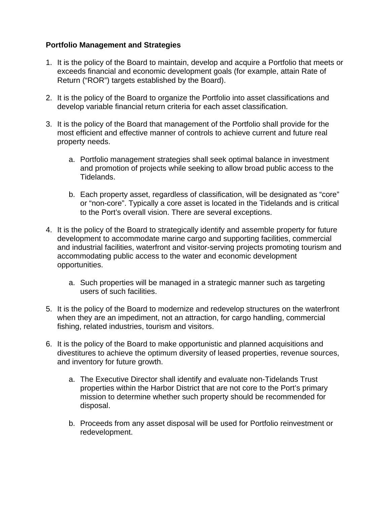#### **Portfolio Management and Strategies**

- 1. It is the policy of the Board to maintain, develop and acquire a Portfolio that meets or exceeds financial and economic development goals (for example, attain Rate of Return ("ROR") targets established by the Board).
- 2. It is the policy of the Board to organize the Portfolio into asset classifications and develop variable financial return criteria for each asset classification.
- 3. It is the policy of the Board that management of the Portfolio shall provide for the most efficient and effective manner of controls to achieve current and future real property needs.
	- a. Portfolio management strategies shall seek optimal balance in investment and promotion of projects while seeking to allow broad public access to the Tidelands.
	- b. Each property asset, regardless of classification, will be designated as "core" or "non-core". Typically a core asset is located in the Tidelands and is critical to the Port's overall vision. There are several exceptions.
- 4. It is the policy of the Board to strategically identify and assemble property for future development to accommodate marine cargo and supporting facilities, commercial and industrial facilities, waterfront and visitor-serving projects promoting tourism and accommodating public access to the water and economic development opportunities.
	- a. Such properties will be managed in a strategic manner such as targeting users of such facilities.
- 5. It is the policy of the Board to modernize and redevelop structures on the waterfront when they are an impediment, not an attraction, for cargo handling, commercial fishing, related industries, tourism and visitors.
- 6. It is the policy of the Board to make opportunistic and planned acquisitions and divestitures to achieve the optimum diversity of leased properties, revenue sources, and inventory for future growth.
	- a. The Executive Director shall identify and evaluate non-Tidelands Trust properties within the Harbor District that are not core to the Port's primary mission to determine whether such property should be recommended for disposal.
	- b. Proceeds from any asset disposal will be used for Portfolio reinvestment or redevelopment.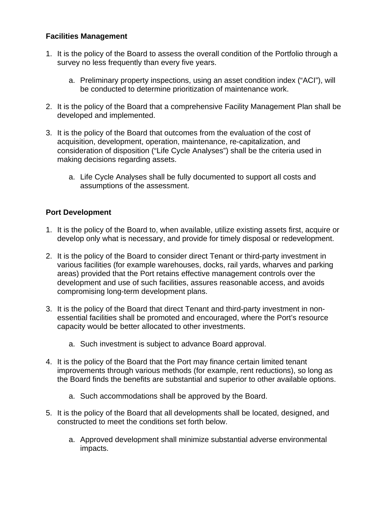#### **Facilities Management**

- 1. It is the policy of the Board to assess the overall condition of the Portfolio through a survey no less frequently than every five years.
	- a. Preliminary property inspections, using an asset condition index ("ACI"), will be conducted to determine prioritization of maintenance work.
- 2. It is the policy of the Board that a comprehensive Facility Management Plan shall be developed and implemented.
- 3. It is the policy of the Board that outcomes from the evaluation of the cost of acquisition, development, operation, maintenance, re-capitalization, and consideration of disposition ("Life Cycle Analyses") shall be the criteria used in making decisions regarding assets.
	- a. Life Cycle Analyses shall be fully documented to support all costs and assumptions of the assessment.

#### **Port Development**

- 1. It is the policy of the Board to, when available, utilize existing assets first, acquire or develop only what is necessary, and provide for timely disposal or redevelopment.
- 2. It is the policy of the Board to consider direct Tenant or third-party investment in various facilities (for example warehouses, docks, rail yards, wharves and parking areas) provided that the Port retains effective management controls over the development and use of such facilities, assures reasonable access, and avoids compromising long-term development plans.
- 3. It is the policy of the Board that direct Tenant and third-party investment in nonessential facilities shall be promoted and encouraged, where the Port's resource capacity would be better allocated to other investments.
	- a. Such investment is subject to advance Board approval.
- 4. It is the policy of the Board that the Port may finance certain limited tenant improvements through various methods (for example, rent reductions), so long as the Board finds the benefits are substantial and superior to other available options.
	- a. Such accommodations shall be approved by the Board.
- 5. It is the policy of the Board that all developments shall be located, designed, and constructed to meet the conditions set forth below.
	- a. Approved development shall minimize substantial adverse environmental impacts.